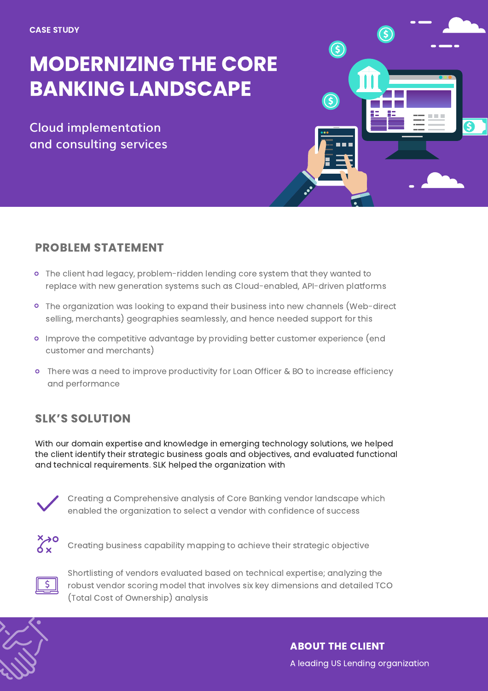# MODERNIZING THE CORE BANKING LANDSCAPE

**Cloud implementation and consulting services**



#### PROBLEM STATEMENT

- The client had legacy, problem-ridden lending core system that they wanted to replace with new generation systems such as Cloud-enabled, API-driven platforms
- The organization was looking to expand their business into new channels (Web-direct selling, merchants) geographies seamlessly, and hence needed support for this
- Improve the competitive advantage by providing better customer experience (end customer and merchants)
- There was a need to improve productivity for Loan Officer & BO to increase efficiency and performance

#### SLK'S SOLUTION

With our domain expertise and knowledge in emerging technology solutions, we helped the client identify their strategic business goals and objectives, and evaluated functional and technical requirements. SLK helped the organization with



Creating a Comprehensive analysis of Core Banking vendor landscape which enabled the organization to select a vendor with confidence of success



Creating business capability mapping to achieve their strategic objective



Shortlisting of vendors evaluated based on technical expertise; analyzing the robust vendor scoring model that involves six key dimensions and detailed TCO (Total Cost of Ownership) analysis



ABOUT THE CLIENT A leading US Lending organization